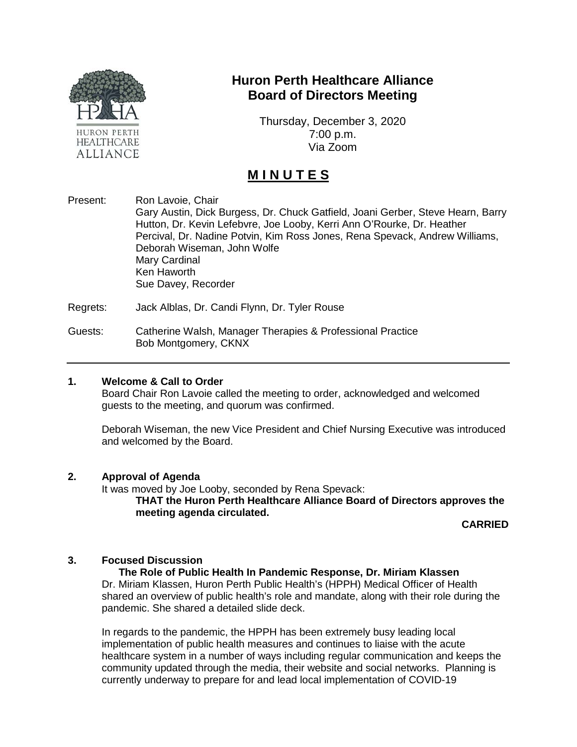

# **Huron Perth Healthcare Alliance Board of Directors Meeting**

Thursday, December 3, 2020 7:00 p.m. Via Zoom

# **M I N U T E S**

Present: Ron Lavoie, Chair Gary Austin, Dick Burgess, Dr. Chuck Gatfield, Joani Gerber, Steve Hearn, Barry Hutton, Dr. Kevin Lefebvre, Joe Looby, Kerri Ann O'Rourke, Dr. Heather Percival, Dr. Nadine Potvin, Kim Ross Jones, Rena Spevack, Andrew Williams, Deborah Wiseman, John Wolfe Mary Cardinal Ken Haworth Sue Davey, Recorder

Regrets: Jack Alblas, Dr. Candi Flynn, Dr. Tyler Rouse

Guests: Catherine Walsh, Manager Therapies & Professional Practice Bob Montgomery, CKNX

## **1. Welcome & Call to Order**

Board Chair Ron Lavoie called the meeting to order, acknowledged and welcomed guests to the meeting, and quorum was confirmed.

Deborah Wiseman, the new Vice President and Chief Nursing Executive was introduced and welcomed by the Board.

#### **2. Approval of Agenda**

It was moved by Joe Looby, seconded by Rena Spevack:

**THAT the Huron Perth Healthcare Alliance Board of Directors approves the meeting agenda circulated.**

**CARRIED**

# **3. Focused Discussion**

## **The Role of Public Health In Pandemic Response, Dr. Miriam Klassen**

Dr. Miriam Klassen, Huron Perth Public Health's (HPPH) Medical Officer of Health shared an overview of public health's role and mandate, along with their role during the pandemic. She shared a detailed slide deck.

In regards to the pandemic, the HPPH has been extremely busy leading local implementation of public health measures and continues to liaise with the acute healthcare system in a number of ways including regular communication and keeps the community updated through the media, their website and social networks. Planning is currently underway to prepare for and lead local implementation of COVID-19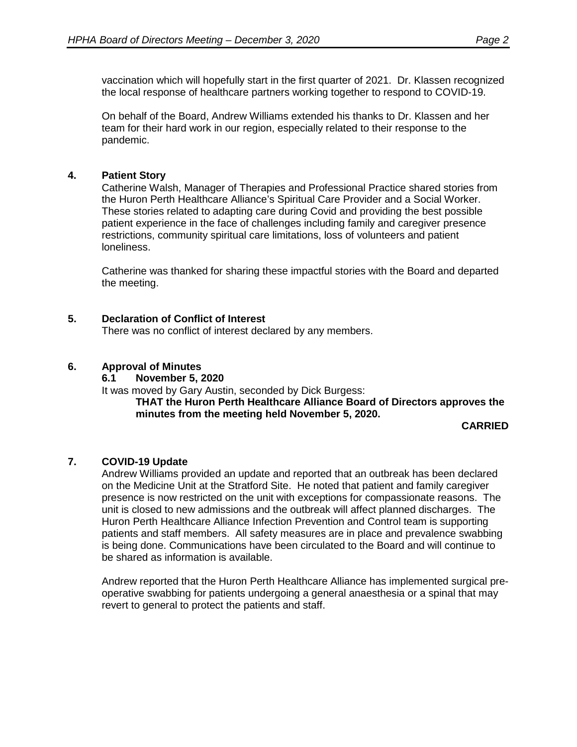vaccination which will hopefully start in the first quarter of 2021. Dr. Klassen recognized the local response of healthcare partners working together to respond to COVID-19.

On behalf of the Board, Andrew Williams extended his thanks to Dr. Klassen and her team for their hard work in our region, especially related to their response to the pandemic.

# **4. Patient Story**

Catherine Walsh, Manager of Therapies and Professional Practice shared stories from the Huron Perth Healthcare Alliance's Spiritual Care Provider and a Social Worker. These stories related to adapting care during Covid and providing the best possible patient experience in the face of challenges including family and caregiver presence restrictions, community spiritual care limitations, loss of volunteers and patient loneliness.

Catherine was thanked for sharing these impactful stories with the Board and departed the meeting.

# **5. Declaration of Conflict of Interest**

There was no conflict of interest declared by any members.

## **6. Approval of Minutes**

## **6.1 November 5, 2020**

It was moved by Gary Austin, seconded by Dick Burgess:

**THAT the Huron Perth Healthcare Alliance Board of Directors approves the minutes from the meeting held November 5, 2020.**

**CARRIED**

## **7. COVID-19 Update**

Andrew Williams provided an update and reported that an outbreak has been declared on the Medicine Unit at the Stratford Site. He noted that patient and family caregiver presence is now restricted on the unit with exceptions for compassionate reasons. The unit is closed to new admissions and the outbreak will affect planned discharges. The Huron Perth Healthcare Alliance Infection Prevention and Control team is supporting patients and staff members. All safety measures are in place and prevalence swabbing is being done. Communications have been circulated to the Board and will continue to be shared as information is available.

Andrew reported that the Huron Perth Healthcare Alliance has implemented surgical preoperative swabbing for patients undergoing a general anaesthesia or a spinal that may revert to general to protect the patients and staff.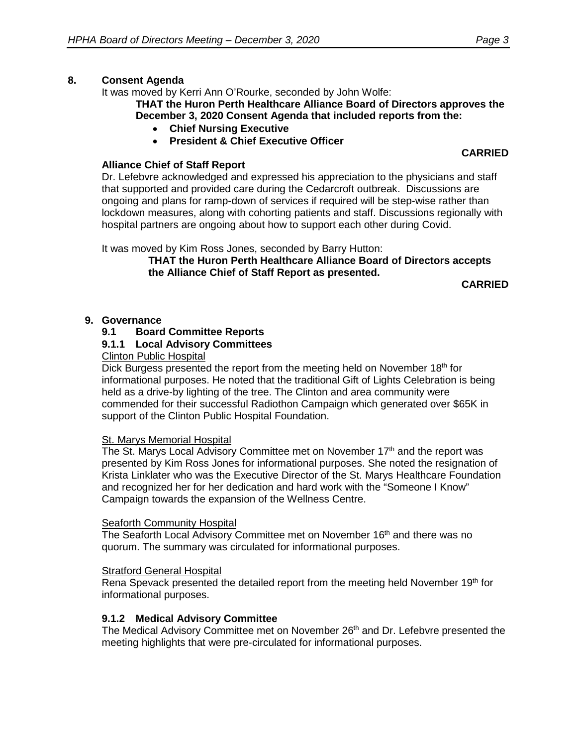## **8. Consent Agenda**

It was moved by Kerri Ann O'Rourke, seconded by John Wolfe:

**THAT the Huron Perth Healthcare Alliance Board of Directors approves the December 3, 2020 Consent Agenda that included reports from the:**

- **Chief Nursing Executive**
- **President & Chief Executive Officer**

# **Alliance Chief of Staff Report**

Dr. Lefebvre acknowledged and expressed his appreciation to the physicians and staff that supported and provided care during the Cedarcroft outbreak. Discussions are ongoing and plans for ramp-down of services if required will be step-wise rather than lockdown measures, along with cohorting patients and staff. Discussions regionally with hospital partners are ongoing about how to support each other during Covid.

It was moved by Kim Ross Jones, seconded by Barry Hutton:

**THAT the Huron Perth Healthcare Alliance Board of Directors accepts the Alliance Chief of Staff Report as presented.**

**CARRIED**

**CARRIED**

#### **9. Governance**

## **9.1 Board Committee Reports**

#### **9.1.1 Local Advisory Committees**

#### Clinton Public Hospital

Dick Burgess presented the report from the meeting held on November  $18<sup>th</sup>$  for informational purposes. He noted that the traditional Gift of Lights Celebration is being held as a drive-by lighting of the tree. The Clinton and area community were commended for their successful Radiothon Campaign which generated over \$65K in support of the Clinton Public Hospital Foundation.

#### St. Marys Memorial Hospital

The St. Marys Local Advisory Committee met on November 17<sup>th</sup> and the report was presented by Kim Ross Jones for informational purposes. She noted the resignation of Krista Linklater who was the Executive Director of the St. Marys Healthcare Foundation and recognized her for her dedication and hard work with the "Someone I Know" Campaign towards the expansion of the Wellness Centre.

#### **Seaforth Community Hospital**

The Seaforth Local Advisory Committee met on November 16<sup>th</sup> and there was no quorum. The summary was circulated for informational purposes.

#### Stratford General Hospital

Rena Spevack presented the detailed report from the meeting held November  $19<sup>th</sup>$  for informational purposes.

## **9.1.2 Medical Advisory Committee**

The Medical Advisory Committee met on November 26<sup>th</sup> and Dr. Lefebvre presented the meeting highlights that were pre-circulated for informational purposes.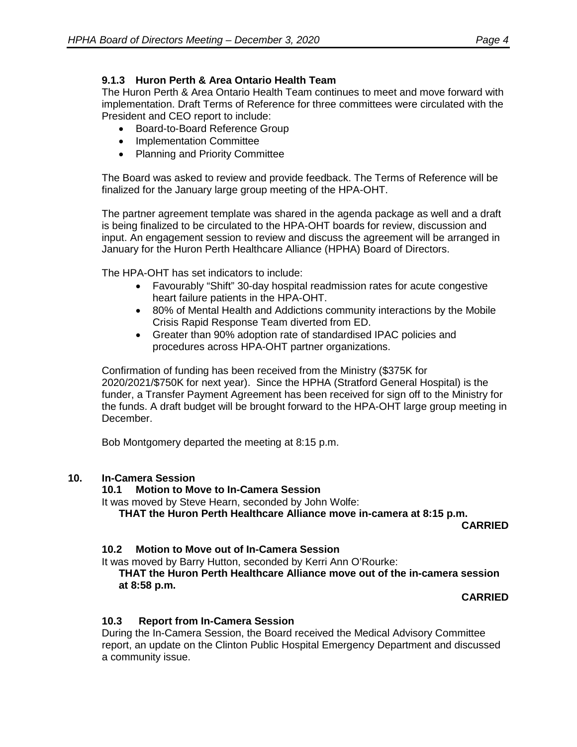# **9.1.3 Huron Perth & Area Ontario Health Team**

The Huron Perth & Area Ontario Health Team continues to meet and move forward with implementation. Draft Terms of Reference for three committees were circulated with the President and CEO report to include:

- Board-to-Board Reference Group
- Implementation Committee
- Planning and Priority Committee

The Board was asked to review and provide feedback. The Terms of Reference will be finalized for the January large group meeting of the HPA-OHT.

The partner agreement template was shared in the agenda package as well and a draft is being finalized to be circulated to the HPA-OHT boards for review, discussion and input. An engagement session to review and discuss the agreement will be arranged in January for the Huron Perth Healthcare Alliance (HPHA) Board of Directors.

The HPA-OHT has set indicators to include:

- Favourably "Shift" 30-day hospital readmission rates for acute congestive heart failure patients in the HPA-OHT.
- 80% of Mental Health and Addictions community interactions by the Mobile Crisis Rapid Response Team diverted from ED.
- Greater than 90% adoption rate of standardised IPAC policies and procedures across HPA-OHT partner organizations.

Confirmation of funding has been received from the Ministry (\$375K for 2020/2021/\$750K for next year). Since the HPHA (Stratford General Hospital) is the funder, a Transfer Payment Agreement has been received for sign off to the Ministry for the funds. A draft budget will be brought forward to the HPA-OHT large group meeting in December.

Bob Montgomery departed the meeting at 8:15 p.m.

# **10. In-Camera Session**

# **10.1 Motion to Move to In-Camera Session**

It was moved by Steve Hearn, seconded by John Wolfe:

**THAT the Huron Perth Healthcare Alliance move in-camera at 8:15 p.m.**

**CARRIED**

# **10.2 Motion to Move out of In-Camera Session**

It was moved by Barry Hutton, seconded by Kerri Ann O'Rourke:

**THAT the Huron Perth Healthcare Alliance move out of the in-camera session at 8:58 p.m.** 

**CARRIED**

# **10.3 Report from In-Camera Session**

During the In-Camera Session, the Board received the Medical Advisory Committee report, an update on the Clinton Public Hospital Emergency Department and discussed a community issue.